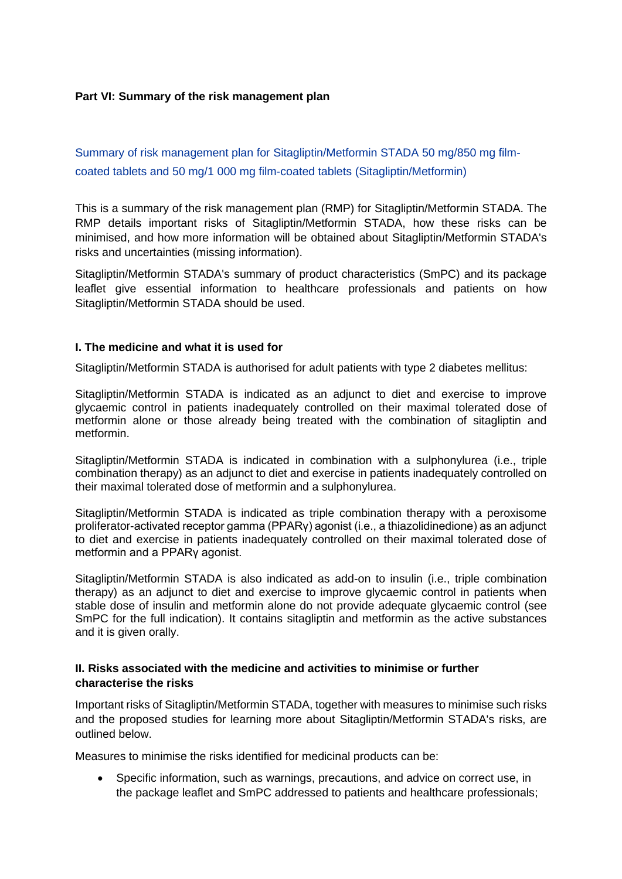## **Part VI: Summary of the risk management plan**

Summary of risk management plan for Sitagliptin/Metformin STADA 50 mg/850 mg filmcoated tablets and 50 mg/1 000 mg film-coated tablets (Sitagliptin/Metformin)

This is a summary of the risk management plan (RMP) for Sitagliptin/Metformin STADA. The RMP details important risks of Sitagliptin/Metformin STADA, how these risks can be minimised, and how more information will be obtained about Sitagliptin/Metformin STADA's risks and uncertainties (missing information).

Sitagliptin/Metformin STADA's summary of product characteristics (SmPC) and its package leaflet give essential information to healthcare professionals and patients on how Sitagliptin/Metformin STADA should be used.

### **I. The medicine and what it is used for**

Sitagliptin/Metformin STADA is authorised for adult patients with type 2 diabetes mellitus:

Sitagliptin/Metformin STADA is indicated as an adjunct to diet and exercise to improve glycaemic control in patients inadequately controlled on their maximal tolerated dose of metformin alone or those already being treated with the combination of sitagliptin and metformin.

Sitagliptin/Metformin STADA is indicated in combination with a sulphonylurea (i.e., triple combination therapy) as an adjunct to diet and exercise in patients inadequately controlled on their maximal tolerated dose of metformin and a sulphonylurea.

Sitagliptin/Metformin STADA is indicated as triple combination therapy with a peroxisome proliferator-activated receptor gamma (PPARγ) agonist (i.e., a thiazolidinedione) as an adjunct to diet and exercise in patients inadequately controlled on their maximal tolerated dose of metformin and a PPARγ agonist.

Sitagliptin/Metformin STADA is also indicated as add-on to insulin (i.e., triple combination therapy) as an adjunct to diet and exercise to improve glycaemic control in patients when stable dose of insulin and metformin alone do not provide adequate glycaemic control (see SmPC for the full indication). It contains sitagliptin and metformin as the active substances and it is given orally.

### **II. Risks associated with the medicine and activities to minimise or further characterise the risks**

Important risks of Sitagliptin/Metformin STADA, together with measures to minimise such risks and the proposed studies for learning more about Sitagliptin/Metformin STADA's risks, are outlined below.

Measures to minimise the risks identified for medicinal products can be:

• Specific information, such as warnings, precautions, and advice on correct use, in the package leaflet and SmPC addressed to patients and healthcare professionals;